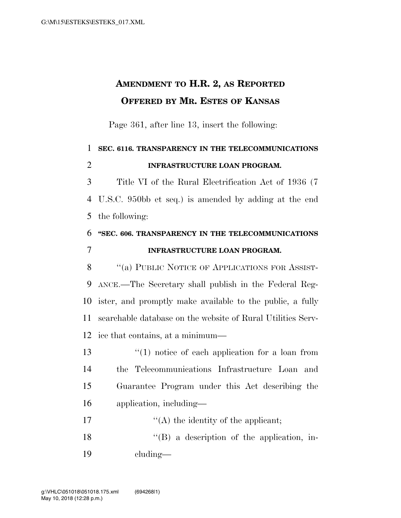## **AMENDMENT TO H.R. 2, AS REPORTED OFFERED BY MR. ESTES OF KANSAS**

Page 361, after line 13, insert the following:

 **SEC. 6116. TRANSPARENCY IN THE TELECOMMUNICATIONS INFRASTRUCTURE LOAN PROGRAM.**  Title VI of the Rural Electrification Act of 1936 (7 U.S.C. 950bb et seq.) is amended by adding at the end the following: **''SEC. 606. TRANSPARENCY IN THE TELECOMMUNICATIONS INFRASTRUCTURE LOAN PROGRAM.**  8 "(a) PUBLIC NOTICE OF APPLICATIONS FOR ASSIST- ANCE.—The Secretary shall publish in the Federal Reg- ister, and promptly make available to the public, a fully searchable database on the website of Rural Utilities Serv-

13 ''(1) notice of each application for a loan from the Telecommunications Infrastructure Loan and Guarantee Program under this Act describing the application, including—

ice that contains, at a minimum—

17  $\langle A \rangle$  the identity of the applicant;

 ''(B) a description of the application, in-cluding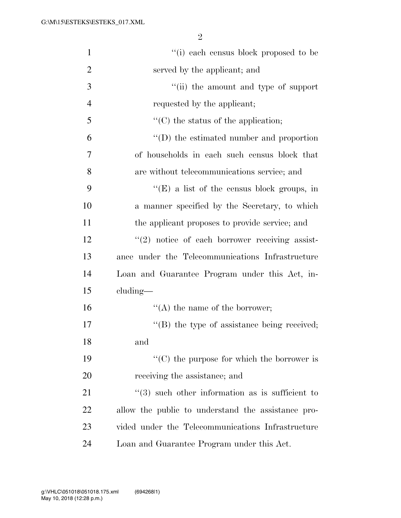2

| $\mathbf{1}$   | "(i) each census block proposed to be               |
|----------------|-----------------------------------------------------|
| $\overline{2}$ | served by the applicant; and                        |
| 3              | "(ii) the amount and type of support                |
| $\overline{4}$ | requested by the applicant;                         |
| 5              | $\lq\lq$ (C) the status of the application;         |
| 6              | "(D) the estimated number and proportion            |
| 7              | of households in each such census block that        |
| 8              | are without telecommunications service; and         |
| 9              | $\lq\lq(E)$ a list of the census block groups, in   |
| 10             | a manner specified by the Secretary, to which       |
| 11             | the applicant proposes to provide service; and      |
| 12             | $\lq(2)$ notice of each borrower receiving assist-  |
| 13             | ance under the Telecommunications Infrastructure    |
| 14             | Loan and Guarantee Program under this Act, in-      |
| 15             | $cluding$ —                                         |
| 16             | $\lq\lq$ the name of the borrower;                  |
| 17             | $\lq\lq$ (B) the type of assistance being received; |
| 18             | and                                                 |
| 19             | $\lq\lq$ (C) the purpose for which the borrower is  |
| 20             | receiving the assistance; and                       |
| 21             | $\lq(3)$ such other information as is sufficient to |
| 22             | allow the public to understand the assistance pro-  |
| 23             | vided under the Telecommunications Infrastructure   |
| 24             | Loan and Guarantee Program under this Act.          |